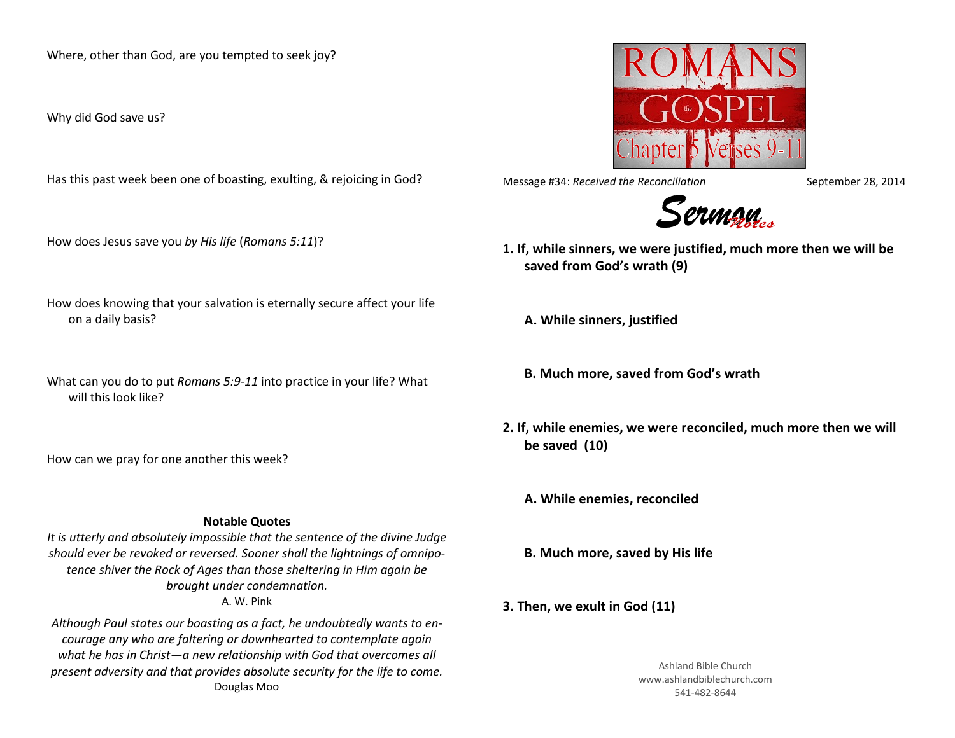Where, other than God, are you tempted to seek joy?

Why did God save us?

Has this past week been one of boasting, exulting, & rejoicing in God?

How does Jesus save you *by His life* (*Romans 5:11*)?

- How does knowing that your salvation is eternally secure affect your life on a daily basis?
- What can you do to put *Romans 5:9-11* into practice in your life? What will this look like?

How can we pray for one another this week?

## **Notable Quotes**

*It is utterly and absolutely impossible that the sentence of the divine Judge should ever be revoked or reversed. Sooner shall the lightnings of omnipotence shiver the Rock of Ages than those sheltering in Him again be brought under condemnation.* A. W. Pink

*Although Paul states our boasting as a fact, he undoubtedly wants to encourage any who are faltering or downhearted to contemplate again what he has in Christ—a new relationship with God that overcomes all present adversity and that provides absolute security for the life to come.* Douglas Moo



Message #34: *Received the Reconciliation* September 28, 2014



- **1. If, while sinners, we were justified, much more then we will be saved from God's wrath (9)**
	- **A. While sinners, justified**
	- **B. Much more, saved from God's wrath**
- **2. If, while enemies, we were reconciled, much more then we will be saved (10)**

**A. While enemies, reconciled**

**B. Much more, saved by His life**

**3. Then, we exult in God (11)** 

Ashland Bible Church www.ashlandbiblechurch.com 541-482-8644